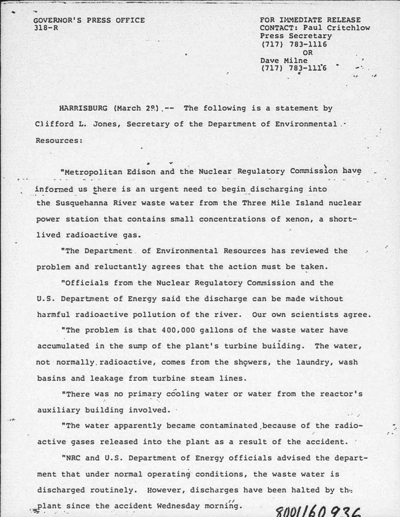GOVERNOR'S PRESS OFFICE  $318 - R$ 

FOR IMMEDIATE RELEASE CONTACT: Paul Critchlow Press Secretary (717) 783-1116 OR Dave Milne  $(717)$  783-1116 c .,

.,

..

.·

.· .· .

HARRISBURG (March 2º) .-- The following is a statement by Clifford L. Jones, Secretary of the Department of Environmental.· Resources:

"Metropolitan Edison and the Nuclear Regulatory Commission have informed us there is an urgent need to begin discharging into the Susquehanna River waste water from the Three Mile Island nuclear power station that contains small concentrations of xenon, a shortlived radioactive gas.

"The Department. of Environmental Resources has reviewed the problem and reluctantly agrees that the action must be taken.

"Officials from the Nuclear Regulatory Commission and the u.s. Department of Energy said the discharge can be made without harmful radioactive pollution of the river. Our own scientists agree.

. "The problem is that 400,000 gallons of the waste water have accumulated in the sump of the plant's turbine building. The water, not normally radioactive, comes from the showers, the laundry, wash basins and leakage from turbine steam lines.

"There was no primary cooling water or water from the reactor's ·. auxiliary building involved.

"The water apparently became contaminated.because of the radioactive gases released into the plant as a result of the accident.

"NRC and U.S. Department of Energy officials advised the department that under normal operating conditions, the waste water is discharged routinely. However, discharges have been halted by th•: plant since the accident Wednesday morning. 8001160936